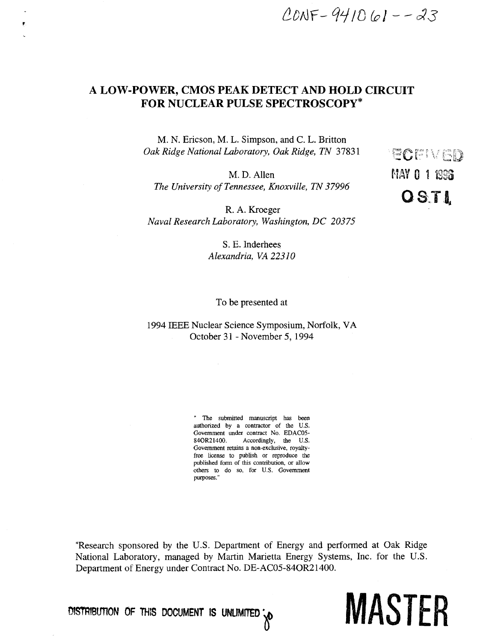*&Drir-WMQpl--c33* 

# A LOW-POWER, CMOS PEAK DETECT AND HOLD CIRCUIT FOR NUCLEAR PULSE SPECTROSCOPY\*

M. N. Ericson, M. L. Simpson, and C. L. Britton *Oak Ridge National Laboratory, Oak Ridge, TN 37831* 

*M.* D. Allen **HAY 0 1 1338** *The University of Tennessee, Knoxville, TN 37996* 

R. A. Kroeger *Naval Research Laboratory, Washington, DC 20375* 

> S. E. Inderhees *Alexandria, VA 22310*

# To be presented at

# 1994 IEEE Nuclear Science Symposium, Norfolk, VA October 31 - November 5, 1994

" The submitted manuscript has been authorized by a contractor of the U.S. Government under contract No. EDAC05- 84OR21400. Accordingly, the U.S. Government retains a non-exclusive, royaltyfree license to publish or reproduce the published form of this contribution, or allow others to do so, for U.S. Government purposes."

'Research sponsored by the U.S. Department of Energy and performed at Oak Ridge National Laboratory, managed by Martin Marietta Energy Systems, Inc. for the U.S. Department of Energy under Contract No. DE-AC05-84OR21400.

**OlSTRIBtmON OF THIS DOCUMENT IS UNLIMITED^** 

-vt . \*• v - *LJ&J*  **OSTI** 

MASTER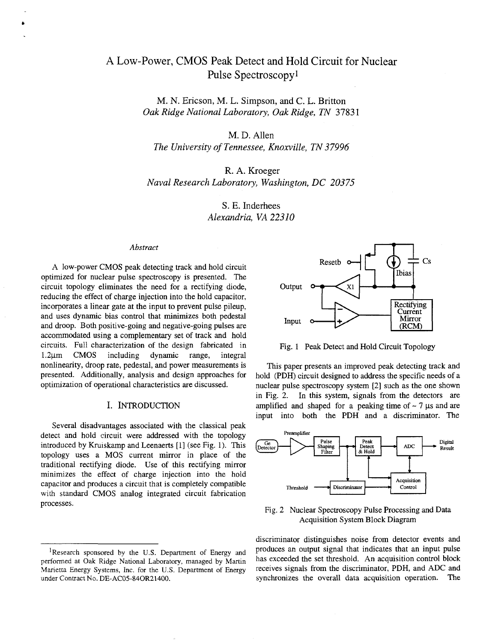# A Low-Power, CMOS Peak Detect and Hold Circuit for Nuclear Pulse Spectroscopy<sup>1</sup>

M. N. Ericson, M. L. Simpson, and C. L. Britton *Oak Ridge National Laboratory, Oak Ridge, TN* 37831

M. D. Allen

*The University of Tennessee, Knoxville, TN 37996* 

R. A. Kroeger *Naval Research Laboratory, Washington, DC 20375* 

> S. E. Inderhees *Alexandria, VA 22310*

#### *Abstract*

A low-power CMOS peak detecting track and hold circuit optimized for nuclear pulse spectroscopy is presented. The circuit topology eliminates the need for a rectifying diode, reducing the effect of charge injection into the hold capacitor, incorporates a linear gate at the input to prevent pulse pileup, and uses dynamic bias control that minimizes both pedestal and droop. Both positive-going and negative-going pulses are accommodated using a complementary set of track and hold circuits. Full characterization of the design fabricated in  $1.2\mu$ m CMOS including dynamic range, integral nonlinearity, droop rate, pedestal, and power measurements is presented. Additionally, analysis and design approaches for optimization of operational characteristics are discussed.

## I. INTRODUCTION

Several disadvantages associated with the classical peak detect and hold circuit were addressed with the topology introduced by Kruiskamp andLeenaerts [1] (see Fig. 1). This topology uses a MOS current mirror in place of the traditional rectifying diode. Use of this rectifying mirror minimizes the effect of charge injection into the hold capacitor and produces a circuit that is completely compatible with standard CMOS analog integrated circuit fabrication processes.



Fig. 1 Peak Detect and Hold Circuit Topology

This paper presents an improved peak detecting track and hold (PDH) circuit designed to address the specific needs of a nuclear pulse spectroscopy system [2] such as the one shown in Fig. 2. In this system, signals from the detectors are amplified and shaped for a peaking time of  $\sim$  7  $\mu$ s and are input into both the PDH and a discriminator. The



Fig. 2 Nuclear Spectroscopy Pulse Processing and Data Acquisition System Block Diagram

discriminator distinguishes noise from detector events and produces an output signal that indicates that an input pulse has exceeded the set threshold. An acquisition control block receives signals from the discriminator, PDH, and ADC and synchronizes the overall data acquisition operation. The

<sup>&</sup>lt;sup>1</sup>Research sponsored by the U.S. Department of Energy and performed at Oak Ridge National Laboratory, managed by Martin Marietta Energy Systems, Inc. for the U.S. Department of Energy under Contract No. DE-AC05-84OR21400.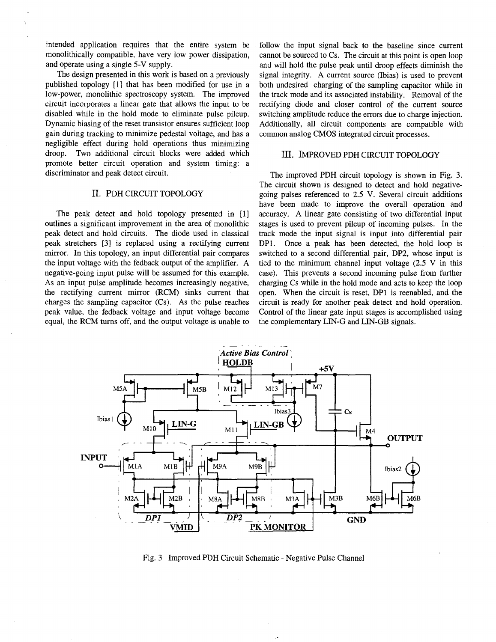intended application requires that the entire system be monolithically compatible, have very low power dissipation, and operate using a single 5-V supply.

The design presented in this work is based on a previously published topology [1] that has been modified for use in a low-power, monolithic spectroscopy system. The improved circuit incorporates a linear gate that allows the input to be disabled while in the hold mode to eliminate pulse pileup. Dynamic biasing of the reset transistor ensures sufficient loop gain during tracking to minimize pedestal voltage, and has a negligible effect during hold operations thus minimizing droop. Two additional circuit blocks were added which promote better circuit operation and system timing: a discriminator and peak detect circuit.

### II. PDH CIRCUIT TOPOLOGY

The peak detect and hold topology presented in [1] outlines a significant improvement in the area of monolithic peak detect and hold circuits. The diode used in classical peak stretchers [3] is replaced using a rectifying current mirror. In this topology, an input differential pair compares the input voltage with the fedback output of the amplifier. A negative-going input pulse will be assumed for this example. As an input pulse amplitude becomes increasingly negative, the rectifying current mirror (RCM) sinks current that charges the sampling capacitor (Cs). As the pulse reaches peak value, the fedback voltage and input voltage become equal, the RCM turns off, and the output voltage is unable to

follow the input signal back to the baseline since current cannot be sourced to Cs. The circuit at this point is open loop and will hold the pulse peak until droop effects diminish the signal integrity. A current source (Ibias) is used to prevent both undesired charging of the sampling capacitor while in the track mode and its associated instability. Removal of the rectifying diode and closer control of the current source switching amplitude reduce the errors due to charge injection. Additionally, all circuit components are compatible with common analog CMOS integrated circuit processes.

## III. IMPROVED PDH CIRCUIT TOPOLOGY

The improved PDH circuit topology is shown in Fig. 3. The circuit shown is designed to detect and hold negativegoing pulses referenced to 2.5 V. Several circuit additions have been made to improve the overall operation and accuracy. A linear gate consisting of two differential input stages is used to prevent pileup of incoming pulses. In the track mode the input signal is input into differential pair DPI. Once a peak has been detected, the hold loop is switched to a second differential pair, DP2, whose input is tied to the minimum channel input voltage (2.5 V in this case). This prevents a second incoming pulse from further charging Cs while in the hold mode and acts to keep the loop open. When the circuit is reset, DPI is reenabled, and the circuit is ready for another peak detect and hold operation. Control of the linear gate input stages is accomplished using the complementary LIN-G and LIN-GB signals.



Fig. 3 Improved PDH Circuit Schematic - Negative Pulse Channel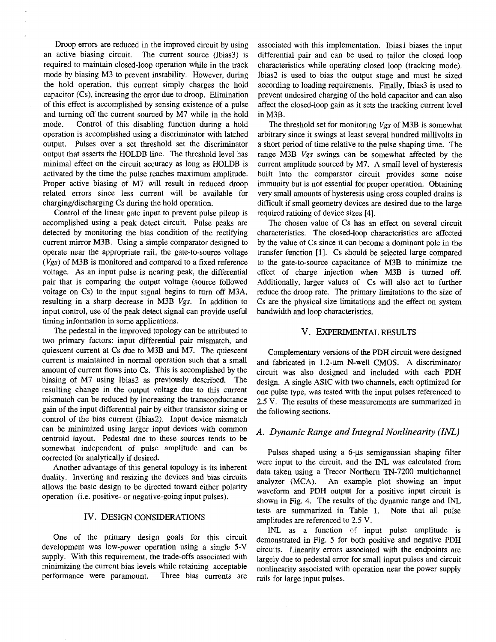Droop errors are reduced in the improved circuit by using an active biasing circuit. The current source (Ibias3) is required to maintain closed-loop operation while in the track mode by biasing M3 to prevent instability. However, during the hold operation, this current simply charges the hold capacitor (Cs), increasing the error due to droop. Elimination of this effect is accomplished by sensing existence of a pulse and turning off the current sourced by M7 while in the hold mode. Control of this disabling function during a hold operation is accomplished using a discriminator with latched output. Pulses over a set threshold set the discriminator output that asserts the HOLDB line. The threshold level has minimal effect on the circuit accuracy as long as HOLDB is activated by the time the pulse reaches maximum amplitude. Proper active biasing of M7 will result in reduced droop related errors since less current will be available for charging/discharging Cs during the hold operation.

Control of the linear gate input to prevent pulse pileup is accomplished using a peak detect circuit. Pulse peaks are detected by monitoring the bias condition of the rectifying current mirror M3B. Using a simple comparator designed to operate near the appropriate rail, the gate-to-source voltage *(Vgs)* of M3B is monitored and compared to a fixed reference voltage. As an input pulse is nearing peak, the differential pair that is comparing the output voltage (source followed voltage on Cs) to the input signal begins to turn off M3A, resulting in a sharp decrease in M3B *Vgs.* In addition to input control, use of the peak detect signal can provide useful timing information in some applications.

The pedestal in the improved topology can be attributed to two primary factors: input differential pair mismatch, and quiescent current at Cs due to M3B and M7. The quiescent current is maintained in normal operation such that a small amount of current flows into Cs. This is accomplished by the biasing of M7 using Ibias2 as previously described. The resulting change in the output voltage due to this current mismatch can be reduced by increasing the transconductance gain of the input differential pair by either transistor sizing or control of the bias current (Ibias2). Input device mismatch can be minimized using larger input devices with common centroid layout. Pedestal due to these sources tends to be somewhat independent of pulse amplitude and can be corrected for analytically if desired.

Another advantage of this general topology is its inherent duality. Inverting and resizing the devices and bias circuits allows the basic design to be directed toward either polarity operation (i.e. positive- or negative-going input pulses).

#### IV. DESIGN CONSIDERATIONS

One of the primary design goals for this circuit development was low-power operation using a single 5-V supply. With this requirement, the trade-offs associated with minimizing the current bias levels while retaining acceptable performance were paramount. Three bias currents are

associated with this implementation. Ibiasl biases the input differential pair and can be used to tailor the closed loop characteristics while operating closed loop (tracking mode). Ibias2 is used to bias the output stage and must be sized according to loading requirements. Finally, Ibias3 is used to prevent undesired charging of the hold capacitor and can also affect the closed-loop gain as it sets the tracking current level in M3B.

The threshold set for monitoring *Vgs* of M3B is somewhat arbitrary since it swings at least several hundred millivolts in a short period of time relative to the pulse shaping time. The range M3B *Vgs* swings can be somewhat affected by the current amplitude sourced by M7. A small level of hysteresis built into the comparator circuit provides some noise immunity but is not essential for proper operation. Obtaining very small amounts of hysteresis using cross coupled drains is difficult if small geometry devices are desired due to the large required ratioing of device sizes [4].

The chosen value of Cs has an effect on several circuit characteristics. The closed-loop characteristics are affected by the value of Cs since it can become a dominant pole in the transfer function [1]. Cs should be selected large compared to the gate-to-source capacitance of M3B to minimize the effect of charge injection when M3B is turned off. Additionally, larger values of Cs will also act to further reduce the droop rate. The primary limitations to the size of Cs are the physical size limitations and the effect on system bandwidth and loop characteristics.

## V. EXPERIMENTAL RESULTS

Complementary versions of the PDH circuit were designed and fabricated in 1.2-um N-well CMOS. A discriminator circuit was also designed and included with each PDH design. A single ASIC with two channels, each optimized for one pulse type, was tested with the input pulses referenced to 2.5 V. The results of these measurements are summarized in the following sections.

# *A. Dynamic Range and Integral Nonlinearity (INL)*

Pulses shaped using a 6-us semigaussian shaping filter were input to the circuit, and the INL was calculated from data taken using a Trecor Northern TN-7200 multichannel analyzer (MCA). An example plot showing an input waveform and PDH output for a positive input circuit is shown in Fig. 4. The results of the dynamic range and INL tests are summarized in Table 1. Note that all pulse amplitudes are referenced to 2.5 V.

INL as a function of input pulse amplitude is demonstrated in Fig. 5 for both positive and negative PDH circuits. Linearity errors associated with the endpoints are largely due to pedestal error for small input pulses and circuit nonlinearity associated with operation near the power supply rails for large input pulses.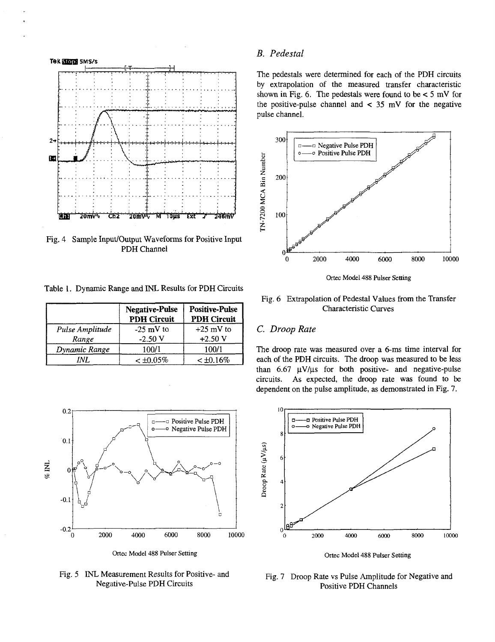

Fig. 4 Sample Input/Output Waveforms for Positive Input PDH Channel

Table 1. Dynamic Range and INL Results for PDH Circuits

|                          | <b>Negative-Pulse</b><br><b>PDH Circuit</b> | <b>Positive-Pulse</b><br><b>PDH Circuit</b> |
|--------------------------|---------------------------------------------|---------------------------------------------|
| Pulse Amplitude<br>Range | $-25$ mV to<br>$-2.50V$                     | $+25$ mV to<br>$+2.50$ V                    |
| Dynamic Range            | 100/1                                       | 100/1                                       |
| INI.                     | $<$ $\pm 0.05\%$                            | $< \pm 0.16\%$                              |



Ortec Model 488 Pulser Setting

Fig. 5 INL Measurement Results for Positive- and Negative-Pulse PDH Circuits

# *B. Pedestal*

The pedestals were determined for each of the PDH circuits by extrapolation of the measured transfer characteristic shown in Fig. 6. The pedestals were found to be  $< 5$  mV for the positive-pulse channel and  $\lt$  35 mV for the negative pulse channel.



Ortec Model 488 Pulser Setting

## Fig. 6 Extrapolation of Pedestal Values from the Transfer Characteristic Curves

## C. *Droop Rate*

The droop rate was measured over a 6-ms time interval for each of the PDH circuits. The droop was measured to be less than  $6.67 \text{ }\mu\text{V}/\mu\text{s}$  for both positive- and negative-pulse circuits. As expected, the droop rate was found to be dependent on the pulse amplitude, as demonstrated in Fig. 7.



Ortec Model 488 Pulser Setting

Fig. 7 Droop Rate vs Pulse Amplitude for Negative and Positive PDH Channels